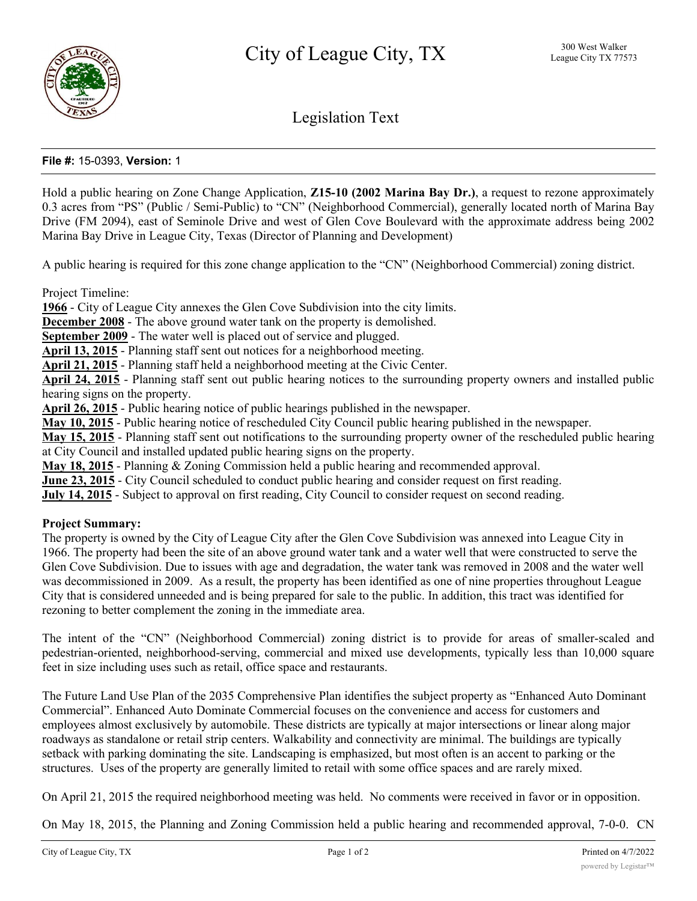

Legislation Text

# **File #:** 15-0393, **Version:** 1

Hold a public hearing on Zone Change Application, **Z15-10 (2002 Marina Bay Dr.)**, a request to rezone approximately 0.3 acres from "PS" (Public / Semi-Public) to "CN" (Neighborhood Commercial), generally located north of Marina Bay Drive (FM 2094), east of Seminole Drive and west of Glen Cove Boulevard with the approximate address being 2002 Marina Bay Drive in League City, Texas (Director of Planning and Development)

A public hearing is required for this zone change application to the "CN" (Neighborhood Commercial) zoning district.

Project Timeline:

**1966** - City of League City annexes the Glen Cove Subdivision into the city limits.

**December 2008** - The above ground water tank on the property is demolished.

**September 2009** - The water well is placed out of service and plugged.

**April 13, 2015** - Planning staff sent out notices for a neighborhood meeting.

**April 21, 2015** - Planning staff held a neighborhood meeting at the Civic Center.

**April 24, 2015** - Planning staff sent out public hearing notices to the surrounding property owners and installed public hearing signs on the property.

**April 26, 2015** - Public hearing notice of public hearings published in the newspaper.

**May 10, 2015** - Public hearing notice of rescheduled City Council public hearing published in the newspaper.

**May 15, 2015** - Planning staff sent out notifications to the surrounding property owner of the rescheduled public hearing at City Council and installed updated public hearing signs on the property.

**May 18, 2015** - Planning & Zoning Commission held a public hearing and recommended approval.

**June 23, 2015** - City Council scheduled to conduct public hearing and consider request on first reading.

**July 14, 2015** - Subject to approval on first reading, City Council to consider request on second reading.

#### **Project Summary:**

The property is owned by the City of League City after the Glen Cove Subdivision was annexed into League City in 1966. The property had been the site of an above ground water tank and a water well that were constructed to serve the Glen Cove Subdivision. Due to issues with age and degradation, the water tank was removed in 2008 and the water well was decommissioned in 2009. As a result, the property has been identified as one of nine properties throughout League City that is considered unneeded and is being prepared for sale to the public. In addition, this tract was identified for rezoning to better complement the zoning in the immediate area.

The intent of the "CN" (Neighborhood Commercial) zoning district is to provide for areas of smaller-scaled and pedestrian-oriented, neighborhood-serving, commercial and mixed use developments, typically less than 10,000 square feet in size including uses such as retail, office space and restaurants.

The Future Land Use Plan of the 2035 Comprehensive Plan identifies the subject property as "Enhanced Auto Dominant Commercial". Enhanced Auto Dominate Commercial focuses on the convenience and access for customers and employees almost exclusively by automobile. These districts are typically at major intersections or linear along major roadways as standalone or retail strip centers. Walkability and connectivity are minimal. The buildings are typically setback with parking dominating the site. Landscaping is emphasized, but most often is an accent to parking or the structures. Uses of the property are generally limited to retail with some office spaces and are rarely mixed.

On April 21, 2015 the required neighborhood meeting was held. No comments were received in favor or in opposition.

On May 18, 2015, the Planning and Zoning Commission held a public hearing and recommended approval, 7-0-0. CN